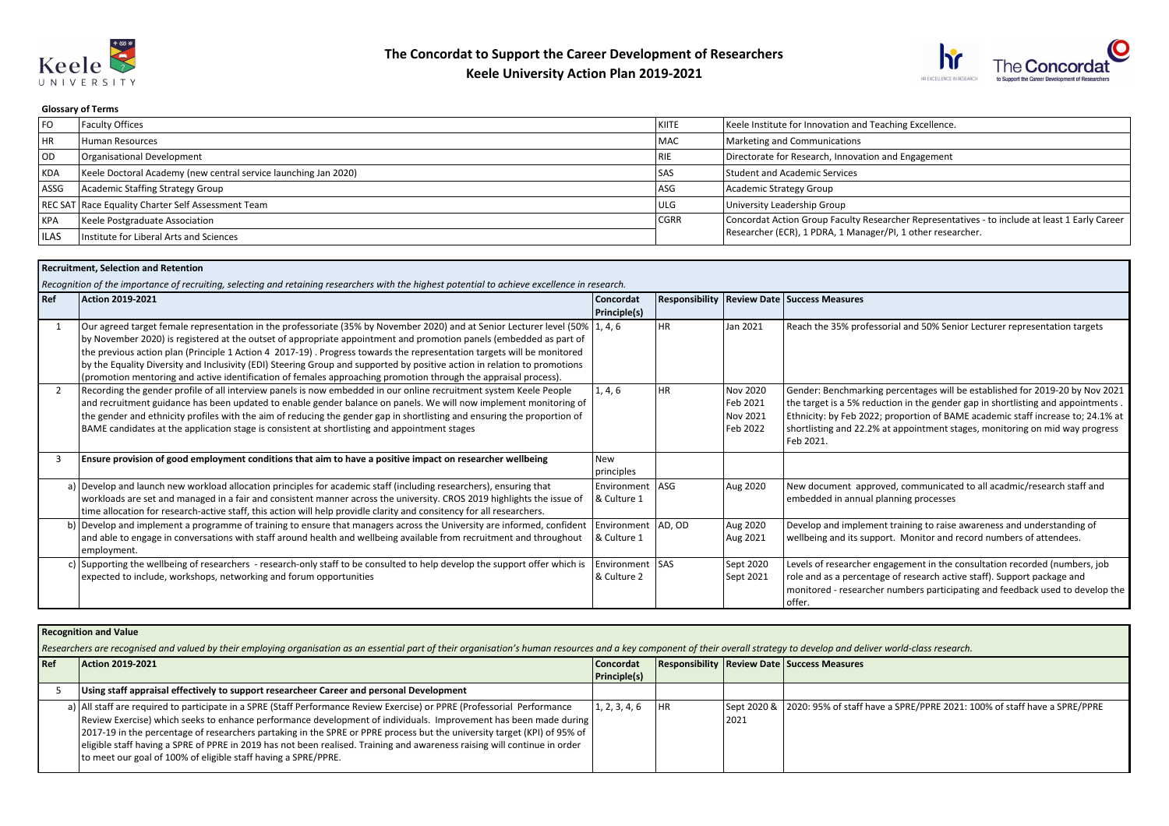



## **Glossary of Terms**

| <b>FO</b>   | Faculty Offices                                                 | l kiite     | Keele Institute for Innovation and Teaching Excellence.                                        |
|-------------|-----------------------------------------------------------------|-------------|------------------------------------------------------------------------------------------------|
| <b>HR</b>   | Human Resources                                                 | <b>MAC</b>  | Marketing and Communications                                                                   |
| l OD.       | Organisational Development                                      | l RIE       | Directorate for Research, Innovation and Engagement                                            |
| KDA         | Keele Doctoral Academy (new central service launching Jan 2020) | l SAS       | Student and Academic Services                                                                  |
| ASSG        | Academic Staffing Strategy Group                                | ASG         | Academic Strategy Group                                                                        |
|             | REC SAT Race Equality Charter Self Assessment Team              | <b>ULG</b>  | University Leadership Group                                                                    |
| KPA         | Keele Postgraduate Association                                  | <b>CGRR</b> | Concordat Action Group Faculty Researcher Representatives - to include at least 1 Early Career |
| <b>ILAS</b> | Institute for Liberal Arts and Sciences                         |             | Researcher (ECR), 1 PDRA, 1 Manager/PI, 1 other researcher.                                    |

## **Recruitment, Selection and Retention**

*Recognition of the importance of recruiting, selecting and retaining researchers with the highest potential to achieve excellence in research.*

| l Ref         | Action 2019-2021                                                                                                                | Concordat            |           |           | <b>Responsibility   Review Date   Success Measures</b>                           |
|---------------|---------------------------------------------------------------------------------------------------------------------------------|----------------------|-----------|-----------|----------------------------------------------------------------------------------|
|               |                                                                                                                                 | Principle(s)         |           |           |                                                                                  |
|               | Our agreed target female representation in the professoriate (35% by November 2020) and at Senior Lecturer level (50%   1, 4, 6 |                      | <b>HR</b> | Jan 2021  | Reach the 35% professorial and 50% Senior Lecturer representation targets        |
|               | by November 2020) is registered at the outset of appropriate appointment and promotion panels (embedded as part of              |                      |           |           |                                                                                  |
|               | the previous action plan (Principle 1 Action 4 2017-19). Progress towards the representation targets will be monitored          |                      |           |           |                                                                                  |
|               | by the Equality Diversity and Inclusivity (EDI) Steering Group and supported by positive action in relation to promotions       |                      |           |           |                                                                                  |
|               | (promotion mentoring and active identification of females approaching promotion through the appraisal process).                 |                      |           |           |                                                                                  |
| $\mathcal{P}$ | Recording the gender profile of all interview panels is now embedded in our online recruitment system Keele People              | 1, 4, 6              | <b>HR</b> | Nov 2020  | Gender: Benchmarking percentages will be established for 2019-20 by Nov 2021     |
|               | and recruitment guidance has been updated to enable gender balance on panels. We will now implement monitoring of               |                      |           | Feb 2021  | the target is a 5% reduction in the gender gap in shortlisting and appointments. |
|               | the gender and ethnicity profiles with the aim of reducing the gender gap in shortlisting and ensuring the proportion of        |                      |           | Nov 2021  | Ethnicity: by Feb 2022; proportion of BAME academic staff increase to; 24.1% at  |
|               | BAME candidates at the application stage is consistent at shortlisting and appointment stages                                   |                      |           | Feb 2022  | shortlisting and 22.2% at appointment stages, monitoring on mid way progress     |
|               |                                                                                                                                 |                      |           |           | Feb 2021.                                                                        |
|               | Ensure provision of good employment conditions that aim to have a positive impact on researcher wellbeing                       | <b>New</b>           |           |           |                                                                                  |
|               |                                                                                                                                 | principles           |           |           |                                                                                  |
|               | a) Develop and launch new workload allocation principles for academic staff (including researchers), ensuring that              | Environment   ASG    |           | Aug 2020  | New document approved, communicated to all acadmic/research staff and            |
|               | workloads are set and managed in a fair and consistent manner across the university. CROS 2019 highlights the issue of          | & Culture 1          |           |           | embedded in annual planning processes                                            |
|               | time allocation for research-active staff, this action will help providle clarity and consitency for all researchers.           |                      |           |           |                                                                                  |
|               | b) Develop and implement a programme of training to ensure that managers across the University are informed, confident          | Environment   AD, OD |           | Aug 2020  | Develop and implement training to raise awareness and understanding of           |
|               | and able to engage in conversations with staff around health and wellbeing available from recruitment and throughout            | & Culture 1          |           | Aug 2021  | wellbeing and its support. Monitor and record numbers of attendees.              |
|               | employment.                                                                                                                     |                      |           |           |                                                                                  |
|               | c) Supporting the wellbeing of researchers - research-only staff to be consulted to help develop the support offer which is     | Environment SAS      |           | Sept 2020 | Levels of researcher engagement in the consultation recorded (numbers, job       |
|               | expected to include, workshops, networking and forum opportunities                                                              | & Culture 2          |           | Sept 2021 | role and as a percentage of research active staff). Support package and          |
|               |                                                                                                                                 |                      |           |           | monitored - researcher numbers participating and feedback used to develop the    |
|               |                                                                                                                                 |                      |           |           | l offer.                                                                         |

## **Recognition and Value**

Researchers are recognised and valued by their employing organisation as an essential part of their organisation's human resources and a key component of their overall strategy to develop and deliver world-class research.

| l Ref | Action 2019-2021                                                                                                                                                                                                                                                                                                                                                                                                                                                                                                                                                            | Concordat           |    |      | <b>Responsibility Review Date Success Measures</b>                                   |
|-------|-----------------------------------------------------------------------------------------------------------------------------------------------------------------------------------------------------------------------------------------------------------------------------------------------------------------------------------------------------------------------------------------------------------------------------------------------------------------------------------------------------------------------------------------------------------------------------|---------------------|----|------|--------------------------------------------------------------------------------------|
|       |                                                                                                                                                                                                                                                                                                                                                                                                                                                                                                                                                                             | <b>Principle(s)</b> |    |      |                                                                                      |
|       | Using staff appraisal effectively to support researcheer Career and personal Development                                                                                                                                                                                                                                                                                                                                                                                                                                                                                    |                     |    |      |                                                                                      |
|       | a)   All staff are required to participate in a SPRE (Staff Performance Review Exercise) or PPRE (Professorial Performance<br>Review Exercise) which seeks to enhance performance development of individuals. Improvement has been made during<br>  2017-19 in the percentage of researchers partaking in the SPRE or PPRE process but the university target (KPI) of 95% of<br>eligible staff having a SPRE of PPRE in 2019 has not been realised. Training and awareness raising will continue in order<br>to meet our goal of 100% of eligible staff having a SPRE/PPRE. | 1, 2, 3, 4, 6       | HR | 2021 | Sept 2020 & 2020: 95% of staff have a SPRE/PPRE 2021: 100% of staff have a SPRE/PPRE |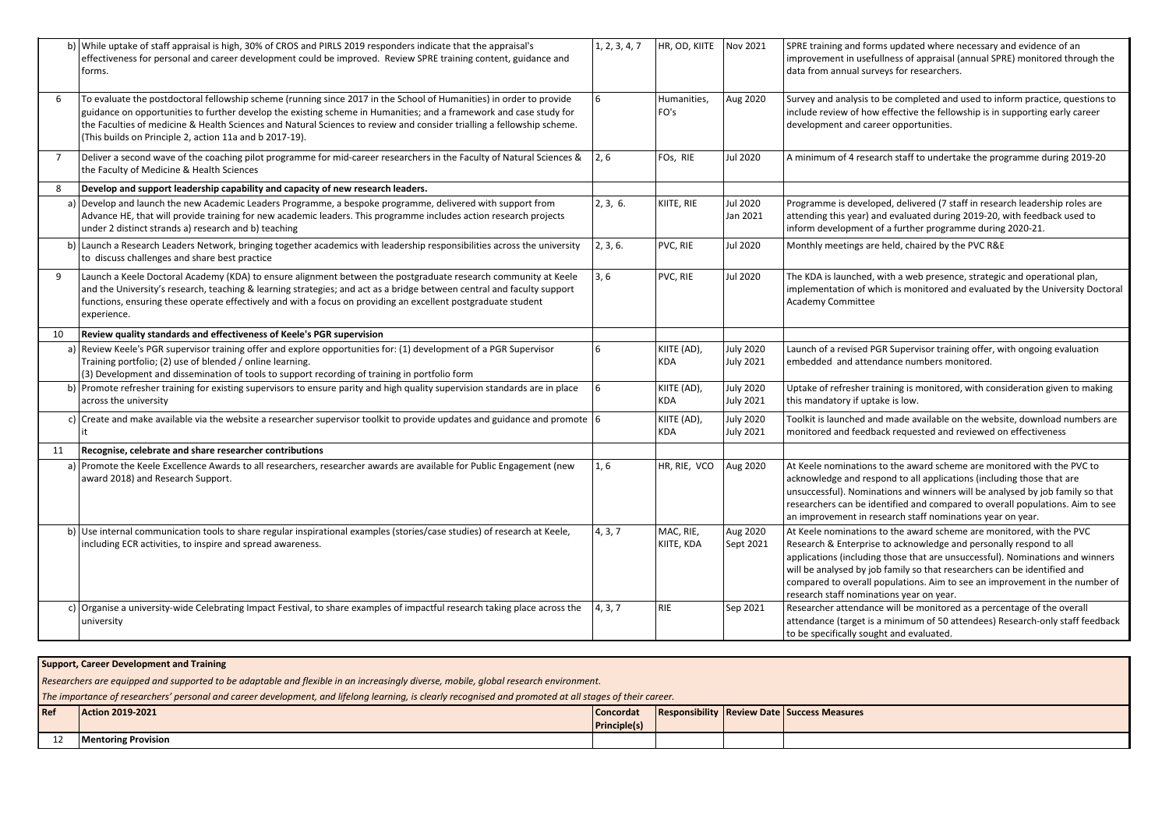|                | b) While uptake of staff appraisal is high, 30% of CROS and PIRLS 2019 responders indicate that the appraisal's<br>effectiveness for personal and career development could be improved. Review SPRE training content, guidance and<br>forms.                                                                                                                                                                                   | 1, 2, 3, 4, 7 | HR, OD, KIITE             | Nov 2021                      | SPRE training and forms updated where necessary and evidence of an<br>improvement in usefullness of appraisal (annual SPRE) monitored through the<br>data from annual surveys for researchers.                                                                                                                                                                                                                                     |
|----------------|--------------------------------------------------------------------------------------------------------------------------------------------------------------------------------------------------------------------------------------------------------------------------------------------------------------------------------------------------------------------------------------------------------------------------------|---------------|---------------------------|-------------------------------|------------------------------------------------------------------------------------------------------------------------------------------------------------------------------------------------------------------------------------------------------------------------------------------------------------------------------------------------------------------------------------------------------------------------------------|
| 6              | To evaluate the postdoctoral fellowship scheme (running since 2017 in the School of Humanities) in order to provide<br>guidance on opportunities to further develop the existing scheme in Humanities; and a framework and case study for<br>the Faculties of medicine & Health Sciences and Natural Sciences to review and consider trialling a fellowship scheme.<br>(This builds on Principle 2, action 11a and b 2017-19). |               | Humanities,<br>FO's       | Aug 2020                      | Survey and analysis to be completed and used to inform practice, questions to<br>include review of how effective the fellowship is in supporting early career<br>development and career opportunities.                                                                                                                                                                                                                             |
| $\overline{7}$ | Deliver a second wave of the coaching pilot programme for mid-career researchers in the Faculty of Natural Sciences &<br>the Faculty of Medicine & Health Sciences                                                                                                                                                                                                                                                             | $\vert$ 2.6   | FOs, RIE                  | <b>Jul 2020</b>               | A minimum of 4 research staff to undertake the programme during 2019-20                                                                                                                                                                                                                                                                                                                                                            |
| 8              | Develop and support leadership capability and capacity of new research leaders.                                                                                                                                                                                                                                                                                                                                                |               |                           |                               |                                                                                                                                                                                                                                                                                                                                                                                                                                    |
|                | a) Develop and launch the new Academic Leaders Programme, a bespoke programme, delivered with support from<br>Advance HE, that will provide training for new academic leaders. This programme includes action research projects<br>under 2 distinct strands a) research and b) teaching                                                                                                                                        | 2, 3, 6.      | KIITE, RIE                | Jul 2020<br>Jan 2021          | Programme is developed, delivered (7 staff in research leadership roles are<br>attending this year) and evaluated during 2019-20, with feedback used to<br>inform development of a further programme during 2020-21.                                                                                                                                                                                                               |
|                | b) Launch a Research Leaders Network, bringing together academics with leadership responsibilities across the university<br>to discuss challenges and share best practice                                                                                                                                                                                                                                                      | 2, 3, 6.      | PVC, RIE                  | Jul 2020                      | Monthly meetings are held, chaired by the PVC R&E                                                                                                                                                                                                                                                                                                                                                                                  |
| 9              | Launch a Keele Doctoral Academy (KDA) to ensure alignment between the postgraduate research community at Keele<br>and the University's research, teaching & learning strategies; and act as a bridge between central and faculty support<br>functions, ensuring these operate effectively and with a focus on providing an excellent postgraduate student<br>experience.                                                       | 3,6           | PVC, RIE                  | <b>Jul 2020</b>               | The KDA is launched, with a web presence, strategic and operational plan,<br>implementation of which is monitored and evaluated by the University Doctoral<br>Academy Committee                                                                                                                                                                                                                                                    |
| 10             | Review quality standards and effectiveness of Keele's PGR supervision                                                                                                                                                                                                                                                                                                                                                          |               |                           |                               |                                                                                                                                                                                                                                                                                                                                                                                                                                    |
|                | a) Review Keele's PGR supervisor training offer and explore opportunities for: (1) development of a PGR Supervisor<br>Training portfolio; (2) use of blended / online learning.<br>(3) Development and dissemination of tools to support recording of training in portfolio form                                                                                                                                               | 6             | KIITE (AD),<br><b>KDA</b> | July 2020<br>July 2021        | Launch of a revised PGR Supervisor training offer, with ongoing evaluation<br>embedded and attendance numbers monitored.                                                                                                                                                                                                                                                                                                           |
|                | b) Promote refresher training for existing supervisors to ensure parity and high quality supervision standards are in place<br>across the university                                                                                                                                                                                                                                                                           | 6             | KIITE (AD),<br>KDA        | <b>July 2020</b><br>July 2021 | Uptake of refresher training is monitored, with consideration given to making<br>this mandatory if uptake is low.                                                                                                                                                                                                                                                                                                                  |
|                | c) Create and make available via the website a researcher supervisor toolkit to provide updates and guidance and promote $6/6$                                                                                                                                                                                                                                                                                                 |               | KIITE (AD),<br>KDA        | July 2020<br><b>July 2021</b> | Toolkit is launched and made available on the website, download numbers are<br>monitored and feedback requested and reviewed on effectiveness                                                                                                                                                                                                                                                                                      |
| 11             | Recognise, celebrate and share researcher contributions                                                                                                                                                                                                                                                                                                                                                                        |               |                           |                               |                                                                                                                                                                                                                                                                                                                                                                                                                                    |
|                | a) Promote the Keele Excellence Awards to all researchers, researcher awards are available for Public Engagement (new<br>award 2018) and Research Support.                                                                                                                                                                                                                                                                     | 1,6           | HR, RIE, VCO              | Aug 2020                      | At Keele nominations to the award scheme are monitored with the PVC to<br>acknowledge and respond to all applications (including those that are<br>unsuccessful). Nominations and winners will be analysed by job family so that<br>researchers can be identified and compared to overall populations. Aim to see<br>an improvement in research staff nominations year on year.                                                    |
|                | b) Use internal communication tools to share regular inspirational examples (stories/case studies) of research at Keele,<br>including ECR activities, to inspire and spread awareness.                                                                                                                                                                                                                                         | 4, 3, 7       | MAC, RIE,<br>KIITE, KDA   | Aug 2020<br>Sept 2021         | At Keele nominations to the award scheme are monitored, with the PVC<br>Research & Enterprise to acknowledge and personally respond to all<br>applications (including those that are unsuccessful). Nominations and winners<br>will be analysed by job family so that researchers can be identified and<br>compared to overall populations. Aim to see an improvement in the number of<br>research staff nominations year on year. |
|                | c) Organise a university-wide Celebrating Impact Festival, to share examples of impactful research taking place across the<br>university                                                                                                                                                                                                                                                                                       | 4, 3, 7       | <b>RIE</b>                | Sep 2021                      | Researcher attendance will be monitored as a percentage of the overall<br>attendance (target is a minimum of 50 attendees) Research-only staff feedback<br>to be specifically sought and evaluated.                                                                                                                                                                                                                                |

## **Support, Career Development and Training** *Researchers are equipped and supported to be adaptable and flexible in an increasingly diverse, mobile, global research environment. The importance of researchers' personal and career development, and lifelong learning, is clearly recognised and promoted at all stages of their career.* **Ref Action 2019-2021 Concordat Principle(s) Responsibility Review Date Success Measures** 12 **Mentoring Provision**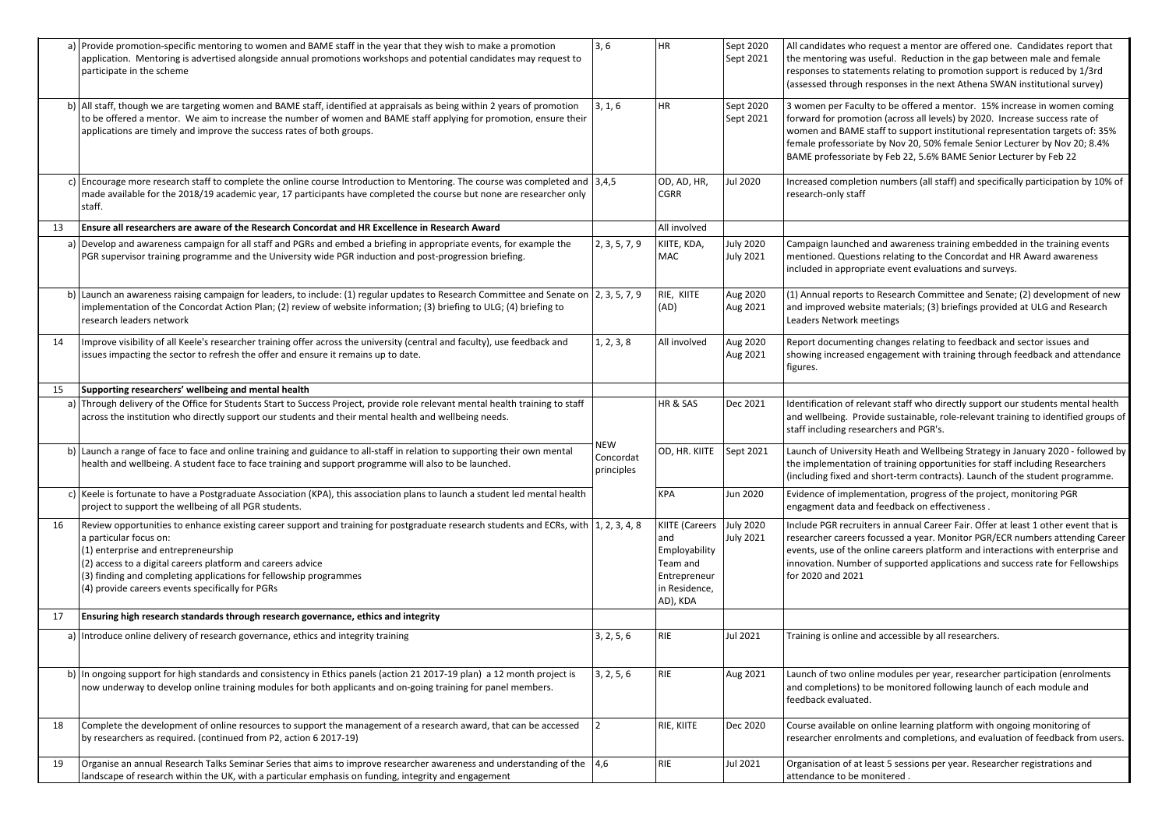|    | a) Provide promotion-specific mentoring to women and BAME staff in the year that they wish to make a promotion<br>application. Mentoring is advertised alongside annual promotions workshops and potential candidates may request to<br>participate in the scheme                                                                                                                             | 3,6                                   | <b>HR</b>                                                                                       | Sept 2020<br>Sept 2021               | All candidates who request a mentor are offered one. Candidates report that<br>the mentoring was useful. Reduction in the gap between male and female<br>responses to statements relating to promotion support is reduced by 1/3rd<br>(assessed through responses in the next Athena SWAN institutional survey)                                                                            |
|----|-----------------------------------------------------------------------------------------------------------------------------------------------------------------------------------------------------------------------------------------------------------------------------------------------------------------------------------------------------------------------------------------------|---------------------------------------|-------------------------------------------------------------------------------------------------|--------------------------------------|--------------------------------------------------------------------------------------------------------------------------------------------------------------------------------------------------------------------------------------------------------------------------------------------------------------------------------------------------------------------------------------------|
|    | b) All staff, though we are targeting women and BAME staff, identified at appraisals as being within 2 years of promotion<br>to be offered a mentor. We aim to increase the number of women and BAME staff applying for promotion, ensure their<br>applications are timely and improve the success rates of both groups.                                                                      | 3, 1, 6                               | <b>HR</b>                                                                                       | Sept 2020<br>Sept 2021               | 3 women per Faculty to be offered a mentor. 15% increase in women coming<br>forward for promotion (across all levels) by 2020. Increase success rate of<br>women and BAME staff to support institutional representation targets of: 35%<br>female professoriate by Nov 20, 50% female Senior Lecturer by Nov 20; 8.4%<br>BAME professoriate by Feb 22, 5.6% BAME Senior Lecturer by Feb 22 |
|    | c) Encourage more research staff to complete the online course Introduction to Mentoring. The course was completed and  3,4,5<br>made available for the 2018/19 academic year, 17 participants have completed the course but none are researcher only<br>staff.                                                                                                                               |                                       | OD, AD, HR,<br><b>CGRR</b>                                                                      | Jul 2020                             | Increased completion numbers (all staff) and specifically participation by 10% of<br>research-only staff                                                                                                                                                                                                                                                                                   |
| 13 | Ensure all researchers are aware of the Research Concordat and HR Excellence in Research Award                                                                                                                                                                                                                                                                                                |                                       | All involved                                                                                    |                                      |                                                                                                                                                                                                                                                                                                                                                                                            |
|    | a) Develop and awareness campaign for all staff and PGRs and embed a briefing in appropriate events, for example the<br>PGR supervisor training programme and the University wide PGR induction and post-progression briefing.                                                                                                                                                                | 2, 3, 5, 7, 9                         | KIITE, KDA,<br>MAC                                                                              | <b>July 2020</b><br><b>July 2021</b> | Campaign launched and awareness training embedded in the training events<br>mentioned. Questions relating to the Concordat and HR Award awareness<br>included in appropriate event evaluations and surveys.                                                                                                                                                                                |
|    | b) Launch an awareness raising campaign for leaders, to include: (1) regular updates to Research Committee and Senate on  2, 3, 5, 7, 9<br>implementation of the Concordat Action Plan; (2) review of website information; (3) briefing to ULG; (4) briefing to<br>research leaders network                                                                                                   |                                       | RIE, KIITE<br>(AD)                                                                              | Aug 2020<br>Aug 2021                 | (1) Annual reports to Research Committee and Senate; (2) development of new<br>and improved website materials; (3) briefings provided at ULG and Research<br>Leaders Network meetings                                                                                                                                                                                                      |
| 14 | Improve visibility of all Keele's researcher training offer across the university (central and faculty), use feedback and<br>issues impacting the sector to refresh the offer and ensure it remains up to date.                                                                                                                                                                               | 1, 2, 3, 8                            | All involved                                                                                    | Aug 2020<br>Aug 2021                 | Report documenting changes relating to feedback and sector issues and<br>showing increased engagement with training through feedback and attendance<br>figures.                                                                                                                                                                                                                            |
| 15 | Supporting researchers' wellbeing and mental health                                                                                                                                                                                                                                                                                                                                           |                                       |                                                                                                 |                                      |                                                                                                                                                                                                                                                                                                                                                                                            |
|    | a) Through delivery of the Office for Students Start to Success Project, provide role relevant mental health training to staff<br>across the institution who directly support our students and their mental health and wellbeing needs.                                                                                                                                                       |                                       | HR & SAS                                                                                        | Dec 2021                             | Identification of relevant staff who directly support our students mental health<br>and wellbeing. Provide sustainable, role-relevant training to identified groups of<br>staff including researchers and PGR's.                                                                                                                                                                           |
|    | b) Launch a range of face to face and online training and guidance to all-staff in relation to supporting their own mental<br>health and wellbeing. A student face to face training and support programme will also to be launched.                                                                                                                                                           | <b>NEW</b><br>Concordat<br>principles | OD, HR. KIITE                                                                                   | Sept 2021                            | Launch of University Heath and Wellbeing Strategy in January 2020 - followed by<br>the implementation of training opportunities for staff including Researchers<br>(including fixed and short-term contracts). Launch of the student programme.                                                                                                                                            |
|    | c) Keele is fortunate to have a Postgraduate Association (KPA), this association plans to launch a student led mental health<br>project to support the wellbeing of all PGR students.                                                                                                                                                                                                         |                                       | <b>KPA</b>                                                                                      | Jun 2020                             | Evidence of implementation, progress of the project, monitoring PGR<br>engagment data and feedback on effectiveness.                                                                                                                                                                                                                                                                       |
| 16 | Review opportunities to enhance existing career support and training for postgraduate research students and ECRs, with 1, 2, 3, 4, 8<br>a particular focus on:<br>(1) enterprise and entrepreneurship<br>(2) access to a digital careers platform and careers advice<br>(3) finding and completing applications for fellowship programmes<br>(4) provide careers events specifically for PGRs |                                       | KIITE (Careers<br>and<br>Employability<br>Team and<br>Entrepreneur<br>in Residence,<br>AD), KDA | <b>July 2020</b><br>July 2021        | Include PGR recruiters in annual Career Fair. Offer at least 1 other event that is<br>researcher careers focussed a year. Monitor PGR/ECR numbers attending Career<br>events, use of the online careers platform and interactions with enterprise and<br>innovation. Number of supported applications and success rate for Fellowships<br>for 2020 and 2021                                |
| 17 | Ensuring high research standards through research governance, ethics and integrity                                                                                                                                                                                                                                                                                                            |                                       |                                                                                                 |                                      |                                                                                                                                                                                                                                                                                                                                                                                            |
|    | a) Introduce online delivery of research governance, ethics and integrity training                                                                                                                                                                                                                                                                                                            | 3, 2, 5, 6                            | <b>RIE</b>                                                                                      | Jul 2021                             | Training is online and accessible by all researchers.                                                                                                                                                                                                                                                                                                                                      |
|    | b) In ongoing support for high standards and consistency in Ethics panels (action 21 2017-19 plan) a 12 month project is<br>now underway to develop online training modules for both applicants and on-going training for panel members.                                                                                                                                                      | 3, 2, 5, 6                            | RIE                                                                                             | Aug 2021                             | Launch of two online modules per year, researcher participation (enrolments<br>and completions) to be monitored following launch of each module and<br>feedback evaluated.                                                                                                                                                                                                                 |
| 18 | Complete the development of online resources to support the management of a research award, that can be accessed<br>by researchers as required. (continued from P2, action 6 2017-19)                                                                                                                                                                                                         | l 2                                   | RIE, KIITE                                                                                      | Dec 2020                             | Course available on online learning platform with ongoing monitoring of<br>researcher enrolments and completions, and evaluation of feedback from users.                                                                                                                                                                                                                                   |
| 19 | Organise an annual Research Talks Seminar Series that aims to improve researcher awareness and understanding of the  4,6<br>landscape of research within the UK, with a particular emphasis on funding, integrity and engagement                                                                                                                                                              |                                       | <b>RIE</b>                                                                                      | Jul 2021                             | Organisation of at least 5 sessions per year. Researcher registrations and<br>attendance to be monitered.                                                                                                                                                                                                                                                                                  |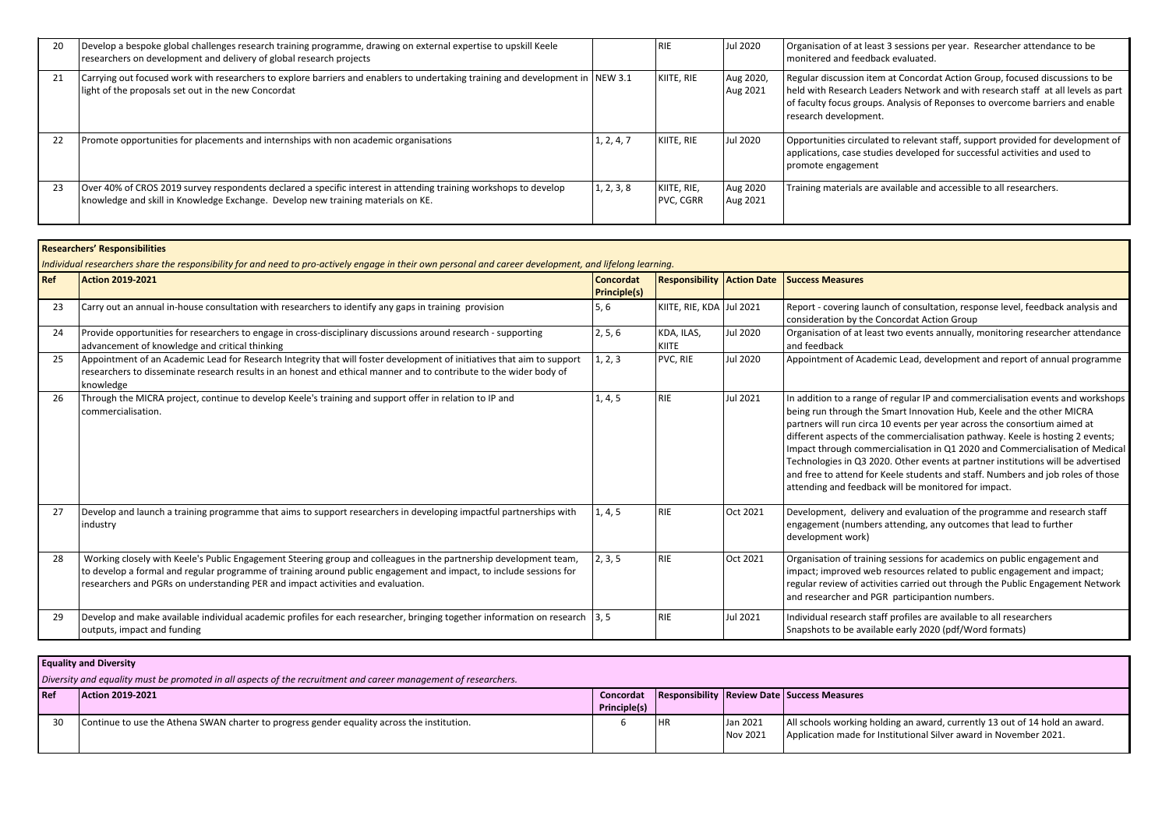|    | Develop a bespoke global challenges research training programme, drawing on external expertise to upskill Keele<br>researchers on development and delivery of global research projects               |            | <b>RIE</b>               | Jul 2020              | Organisation of at least 3 sessions per year. Researcher attendance to be<br>monitered and feedback evaluated.                                                                                                                                                             |
|----|------------------------------------------------------------------------------------------------------------------------------------------------------------------------------------------------------|------------|--------------------------|-----------------------|----------------------------------------------------------------------------------------------------------------------------------------------------------------------------------------------------------------------------------------------------------------------------|
| 21 | Carrying out focused work with researchers to explore barriers and enablers to undertaking training and development in NEW 3.1<br>light of the proposals set out in the new Concordat                |            | KIITE, RIE               | Aug 2020,<br>Aug 2021 | Regular discussion item at Concordat Action Group, focused discussions to be<br>held with Research Leaders Network and with research staff at all levels as part<br>of faculty focus groups. Analysis of Reponses to overcome barriers and enable<br>research development. |
| 22 | Promote opportunities for placements and internships with non academic organisations                                                                                                                 | 1, 2, 4, 7 | KIITE, RIE               | Jul 2020              | Opportunities circulated to relevant staff, support provided for development of<br>applications, case studies developed for successful activities and used to<br>promote engagement                                                                                        |
| 23 | Over 40% of CROS 2019 survey respondents declared a specific interest in attending training workshops to develop<br>knowledge and skill in Knowledge Exchange. Develop new training materials on KE. | 1, 2, 3, 8 | KIITE, RIE,<br>PVC, CGRR | Aug 2020<br>Aug 2021  | Training materials are available and accessible to all researchers.                                                                                                                                                                                                        |

|       | <b>Researchers' Responsibilities</b>                                                                                                                                                                                                                                                                                       |                                  |                                   |                 |                                                                                                                                                                                                                                                                                                                                                                                                                                                                                                                                                                                                                                        |  |  |  |
|-------|----------------------------------------------------------------------------------------------------------------------------------------------------------------------------------------------------------------------------------------------------------------------------------------------------------------------------|----------------------------------|-----------------------------------|-----------------|----------------------------------------------------------------------------------------------------------------------------------------------------------------------------------------------------------------------------------------------------------------------------------------------------------------------------------------------------------------------------------------------------------------------------------------------------------------------------------------------------------------------------------------------------------------------------------------------------------------------------------------|--|--|--|
|       | Individual researchers share the responsibility for and need to pro-actively engage in their own personal and career development, and lifelong learning.                                                                                                                                                                   |                                  |                                   |                 |                                                                                                                                                                                                                                                                                                                                                                                                                                                                                                                                                                                                                                        |  |  |  |
| l Ref | Action 2019-2021                                                                                                                                                                                                                                                                                                           | Concordat<br><b>Principle(s)</b> | <b>Responsibility Action Date</b> |                 | <b>Success Measures</b>                                                                                                                                                                                                                                                                                                                                                                                                                                                                                                                                                                                                                |  |  |  |
| 23    | Carry out an annual in-house consultation with researchers to identify any gaps in training provision                                                                                                                                                                                                                      | 5, 6                             | KIITE, RIE, KDA Jul 2021          |                 | Report - covering launch of consultation, response level, feedback analysis and<br>consideration by the Concordat Action Group                                                                                                                                                                                                                                                                                                                                                                                                                                                                                                         |  |  |  |
| 24    | Provide opportunities for researchers to engage in cross-disciplinary discussions around research - supporting<br>advancement of knowledge and critical thinking                                                                                                                                                           | 2, 5, 6                          | KDA, ILAS,<br>KIITE               | <b>Jul 2020</b> | Organisation of at least two events annually, monitoring researcher attendance<br>and feedback                                                                                                                                                                                                                                                                                                                                                                                                                                                                                                                                         |  |  |  |
| 25    | Appointment of an Academic Lead for Research Integrity that will foster development of initiatives that aim to support<br>researchers to disseminate research results in an honest and ethical manner and to contribute to the wider body of<br>knowledge                                                                  | 1, 2, 3                          | PVC, RIE                          | Jul 2020        | Appointment of Academic Lead, development and report of annual programme                                                                                                                                                                                                                                                                                                                                                                                                                                                                                                                                                               |  |  |  |
| 26    | Through the MICRA project, continue to develop Keele's training and support offer in relation to IP and<br>commercialisation.                                                                                                                                                                                              | 1, 4, 5                          | <b>RIE</b>                        | Jul 2021        | In addition to a range of regular IP and commercialisation events and workshops<br>being run through the Smart Innovation Hub, Keele and the other MICRA<br>partners will run circa 10 events per year across the consortium aimed at<br>different aspects of the commercialisation pathway. Keele is hosting 2 events;<br>Impact through commercialisation in Q1 2020 and Commercialisation of Medical<br>Technologies in Q3 2020. Other events at partner institutions will be advertised<br>and free to attend for Keele students and staff. Numbers and job roles of those<br>attending and feedback will be monitored for impact. |  |  |  |
| 27    | Develop and launch a training programme that aims to support researchers in developing impactful partnerships with<br>industry                                                                                                                                                                                             | 1, 4, 5                          | <b>RIE</b>                        | Oct 2021        | Development, delivery and evaluation of the programme and research staff<br>engagement (numbers attending, any outcomes that lead to further<br>development work)                                                                                                                                                                                                                                                                                                                                                                                                                                                                      |  |  |  |
| 28    | Working closely with Keele's Public Engagement Steering group and colleagues in the partnership development team,<br>to develop a formal and regular programme of training around public engagement and impact, to include sessions for<br>researchers and PGRs on understanding PER and impact activities and evaluation. | 2, 3, 5                          | <b>RIE</b>                        | Oct 2021        | Organisation of training sessions for academics on public engagement and<br>impact; improved web resources related to public engagement and impact;<br>regular review of activities carried out through the Public Engagement Network<br>and researcher and PGR participantion numbers.                                                                                                                                                                                                                                                                                                                                                |  |  |  |
| 29    | Develop and make available individual academic profiles for each researcher, bringing together information on research $\vert 3, 5 \rangle$<br>outputs, impact and funding                                                                                                                                                 |                                  | <b>RIE</b>                        | Jul 2021        | Individual research staff profiles are available to all researchers<br>Snapshots to be available early 2020 (pdf/Word formats)                                                                                                                                                                                                                                                                                                                                                                                                                                                                                                         |  |  |  |

**Equality and Diversity**

*Diversity and equality must be promoted in all aspects of the recruitment and career management of researchers.*

| l Ref | Action 2019-2021                                                                            | Concordat           |            | <b>Responsibility Review Date Success Measures</b>                          |
|-------|---------------------------------------------------------------------------------------------|---------------------|------------|-----------------------------------------------------------------------------|
|       |                                                                                             | <b>Principle(s)</b> |            |                                                                             |
|       | Continue to use the Athena SWAN charter to progress gender equality across the institution. |                     | l Jan 2021 | All schools working holding an award, currently 13 out of 14 hold an award. |
|       |                                                                                             |                     | Nov 2021   | Application made for Institutional Silver award in November 2021.           |
|       |                                                                                             |                     |            |                                                                             |